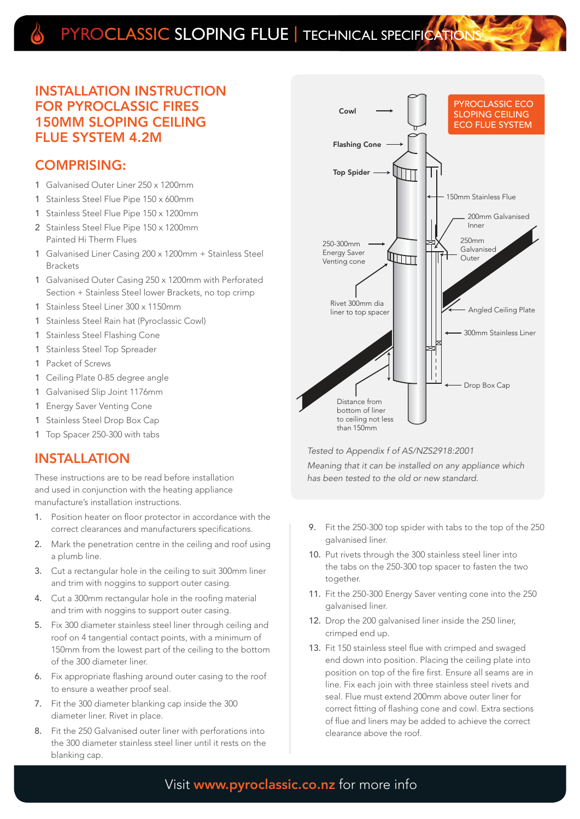# PYROCLASSIC SLOPING FLUE | TECHNICAL SPECIFICATION

### INSTALLATION INSTRUCTION FOR PYROCLASSIC FIRES 150MM SLOPING CEILING FLUE SYSTEM 4.2M

### COMPRISING:

- 1 Galvanised Outer Liner 250 x 1200mm
- 1 Stainless Steel Flue Pipe 150 x 600mm
- 1 Stainless Steel Flue Pipe 150 x 1200mm
- 2 Stainless Steel Flue Pipe 150 x 1200mm Painted Hi Therm Flues
- 1 Galvanised Liner Casing 200 x 1200mm + Stainless Steel Brackets
- 1 Galvanised Outer Casing 250 x 1200mm with Perforated Section + Stainless Steel lower Brackets, no top crimp
- 1 Stainless Steel Liner 300 x 1150mm
- 1 Stainless Steel Rain hat (Pyroclassic Cowl)
- 1 Stainless Steel Flashing Cone
- 1 Stainless Steel Top Spreader
- 1 Packet of Screws
- 1 Ceiling Plate 0-85 degree angle
- 1 Galvanised Slip Joint 1176mm
- 1 Energy Saver Venting Cone
- 1 Stainless Steel Drop Box Cap
- 1 Top Spacer 250-300 with tabs

### INSTALLATION

These instructions are to be read before installation and used in conjunction with the heating appliance manufacture's installation instructions.

- 1. Position heater on floor protector in accordance with the correct clearances and manufacturers specifications.
- 2. Mark the penetration centre in the ceiling and roof using a plumb line.
- 3. Cut a rectangular hole in the ceiling to suit 300mm liner and trim with noggins to support outer casing.
- 4. Cut a 300mm rectangular hole in the roofing material and trim with noggins to support outer casing.
- 5. Fix 300 diameter stainless steel liner through ceiling and roof on 4 tangential contact points, with a minimum of 150mm from the lowest part of the ceiling to the bottom of the 300 diameter liner.
- 6. Fix appropriate flashing around outer casing to the roof to ensure a weather proof seal.
- 7. Fit the 300 diameter blanking cap inside the 300 diameter liner. Rivet in place.
- 8. Fit the 250 Galvanised outer liner with perforations into the 300 diameter stainless steel liner until it rests on the blanking cap.



#### Tested to Appendix f of AS/NZS2918:2001

Meaning that it can be installed on any appliance which has been tested to the old or new standard.

- 9. Fit the 250-300 top spider with tabs to the top of the 250 galvanised liner.
- 10. Put rivets through the 300 stainless steel liner into the tabs on the 250-300 top spacer to fasten the two together.
- 11. Fit the 250-300 Energy Saver venting cone into the 250 galvanised liner.
- 12. Drop the 200 galvanised liner inside the 250 liner, crimped end up.
- 13. Fit 150 stainless steel flue with crimped and swaged end down into position. Placing the ceiling plate into position on top of the fire first. Ensure all seams are in line. Fix each join with three stainless steel rivets and seal. Flue must extend 200mm above outer liner for correct fitting of flashing cone and cowl. Extra sections of flue and liners may be added to achieve the correct clearance above the roof.

## Visit www.pyroclassic.co.nz for more info